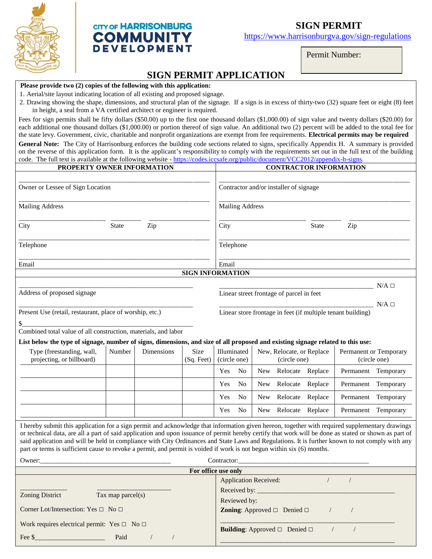

## **CITY OF HARRISONBURG COMMUNITY DEVELOPMENT**

## **SIGN PERMIT**

https://www.harrisonburgva.gov/sign-regulations

\_\_\_\_\_\_\_\_\_\_\_\_\_\_\_\_\_\_\_\_\_\_\_\_\_\_\_\_\_\_\_\_\_\_\_\_\_\_\_\_\_\_\_\_\_\_\_\_\_\_\_\_

Permit Number:

j

## **SIGN PERMIT APPLICATION**

## **Please provide two (2) copies of the following with this application:**

Fee \$\_\_\_\_\_\_\_\_\_\_\_\_\_\_\_\_\_\_\_\_\_ Paid / /

1. Aerial/site layout indicating location of all existing and proposed signage.

2. Drawing showing the shape, dimensions, and structural plan of the signage. If a sign is in excess of thirty-two (32) square feet or eight (8) feet in height, a seal from a VA certified architect or engineer is required.

Fees for sign permits shall be fifty dollars (\$50.00) up to the first one thousand dollars (\$1,000.00) of sign value and twenty dollars (\$20.00) for each additional one thousand dollars (\$1,000.00) or portion thereof of sign value. An additional two (2) percent will be added to the total fee for the state levy. Government, civic, charitable and nonprofit organizations are exempt from fee requirements. **Electrical permits may be required**

**General Note:** The City of Harrisonburg enforces the building code sections related to signs, specifically Appendix H. A summary is provided on the reverse of this application form. It is the applicant's responsibility to comply with the requirements set out in the full text of the building code. The full text is available at the following website - [https://codes.iccsafe.org/public/document/VCC2012/appendix-h-signs.](https://codes.iccsafe.org/public/document/VCC2012/appendix-h-signs)

| PROPERTY OWNER INFORMATION                                                                                                                                                                                                                                                                                                                                                                                                                                                                                                                                                                      |                     |                   |                           |                                                                      | <b>CONTRACTOR INFORMATION</b>    |                                           |                                                |                  |                                        |                     |  |
|-------------------------------------------------------------------------------------------------------------------------------------------------------------------------------------------------------------------------------------------------------------------------------------------------------------------------------------------------------------------------------------------------------------------------------------------------------------------------------------------------------------------------------------------------------------------------------------------------|---------------------|-------------------|---------------------------|----------------------------------------------------------------------|----------------------------------|-------------------------------------------|------------------------------------------------|------------------|----------------------------------------|---------------------|--|
| Owner or Lessee of Sign Location                                                                                                                                                                                                                                                                                                                                                                                                                                                                                                                                                                |                     |                   |                           | Contractor and/or installer of signage                               |                                  |                                           |                                                |                  |                                        |                     |  |
| <b>Mailing Address</b>                                                                                                                                                                                                                                                                                                                                                                                                                                                                                                                                                                          |                     |                   |                           |                                                                      | <b>Mailing Address</b>           |                                           |                                                |                  |                                        |                     |  |
| City                                                                                                                                                                                                                                                                                                                                                                                                                                                                                                                                                                                            | <b>State</b><br>Zip |                   |                           | City                                                                 | <b>State</b>                     |                                           |                                                | Zip              |                                        |                     |  |
| Telephone                                                                                                                                                                                                                                                                                                                                                                                                                                                                                                                                                                                       |                     |                   |                           |                                                                      | Telephone                        |                                           |                                                |                  |                                        |                     |  |
| Email                                                                                                                                                                                                                                                                                                                                                                                                                                                                                                                                                                                           |                     |                   |                           |                                                                      | Email<br><b>SIGN INFORMATION</b> |                                           |                                                |                  |                                        |                     |  |
|                                                                                                                                                                                                                                                                                                                                                                                                                                                                                                                                                                                                 |                     |                   |                           |                                                                      |                                  |                                           |                                                |                  |                                        |                     |  |
| Address of proposed signage                                                                                                                                                                                                                                                                                                                                                                                                                                                                                                                                                                     |                     |                   |                           | $N/A \Box$<br>Linear street frontage of parcel in feet<br>$N/A \Box$ |                                  |                                           |                                                |                  |                                        |                     |  |
| Present Use (retail, restaurant, place of worship, etc.)                                                                                                                                                                                                                                                                                                                                                                                                                                                                                                                                        |                     |                   |                           | Linear store frontage in feet (if multiple tenant building)          |                                  |                                           |                                                |                  |                                        |                     |  |
| \$<br>Combined total value of all construction, materials, and labor                                                                                                                                                                                                                                                                                                                                                                                                                                                                                                                            |                     |                   |                           |                                                                      |                                  |                                           |                                                |                  |                                        |                     |  |
|                                                                                                                                                                                                                                                                                                                                                                                                                                                                                                                                                                                                 |                     |                   |                           |                                                                      |                                  |                                           |                                                |                  |                                        |                     |  |
| List below the type of signage, number of signs, dimensions, and size of all proposed and existing signage related to this use:                                                                                                                                                                                                                                                                                                                                                                                                                                                                 |                     |                   |                           |                                                                      |                                  |                                           |                                                |                  |                                        |                     |  |
| Type (freestanding, wall,<br>Number<br>projecting, or billboard)                                                                                                                                                                                                                                                                                                                                                                                                                                                                                                                                |                     | <b>Dimensions</b> | <b>Size</b><br>(Sq. Feet) | Illuminated<br>(circle one)                                          |                                  | New, Relocate, or Replace<br>(circle one) |                                                |                  | Permanent or Temporary<br>(circle one) |                     |  |
|                                                                                                                                                                                                                                                                                                                                                                                                                                                                                                                                                                                                 |                     |                   |                           | Yes                                                                  | N <sub>0</sub>                   | New                                       |                                                | Relocate Replace |                                        | Permanent Temporary |  |
|                                                                                                                                                                                                                                                                                                                                                                                                                                                                                                                                                                                                 |                     |                   |                           | Yes                                                                  | N <sub>0</sub>                   | <b>New</b>                                | Relocate                                       | Replace          | Permanent                              | Temporary           |  |
|                                                                                                                                                                                                                                                                                                                                                                                                                                                                                                                                                                                                 |                     |                   |                           | Yes                                                                  | N <sub>0</sub>                   | <b>New</b>                                |                                                | Relocate Replace | Permanent                              | Temporary           |  |
|                                                                                                                                                                                                                                                                                                                                                                                                                                                                                                                                                                                                 |                     |                   |                           | Yes                                                                  | N <sub>o</sub>                   | <b>New</b>                                |                                                | Relocate Replace | Permanent                              | Temporary           |  |
| I hereby submit this application for a sign permit and acknowledge that information given hereon, together with required supplementary drawings<br>or technical data, are all a part of said application and upon issuance of permit hereby certify that work will be done as stated or shown as part of<br>said application and will be held in compliance with City Ordinances and State Laws and Regulations. It is further known to not comply with any<br>part or terms is sufficient cause to revoke a permit, and permit is voided if work is not begun within six (6) months.<br>Owner: |                     |                   |                           | Contractor:                                                          |                                  |                                           |                                                |                  |                                        |                     |  |
|                                                                                                                                                                                                                                                                                                                                                                                                                                                                                                                                                                                                 |                     |                   | For office use only       |                                                                      |                                  |                                           |                                                |                  |                                        |                     |  |
|                                                                                                                                                                                                                                                                                                                                                                                                                                                                                                                                                                                                 |                     |                   |                           |                                                                      |                                  | <b>Application Received:</b>              |                                                | $\sqrt{2}$       | $\sqrt{2}$                             |                     |  |
| <b>Zoning District</b><br>Tax map parcel $(s)$                                                                                                                                                                                                                                                                                                                                                                                                                                                                                                                                                  |                     |                   |                           |                                                                      | Reviewed by:                     |                                           |                                                |                  |                                        |                     |  |
| Corner Lot/Intersection: Yes □ No □                                                                                                                                                                                                                                                                                                                                                                                                                                                                                                                                                             |                     |                   |                           |                                                                      |                                  |                                           | <b>Zoning:</b> Approved $\Box$ Denied $\Box$   | $\sqrt{2}$       | $\sqrt{2}$                             |                     |  |
| Work requires electrical permit: Yes $\Box$ No $\Box$                                                                                                                                                                                                                                                                                                                                                                                                                                                                                                                                           |                     |                   |                           |                                                                      |                                  |                                           | <b>Building:</b> Approved $\Box$ Denied $\Box$ | $\sqrt{2}$       | $\sqrt{2}$                             |                     |  |